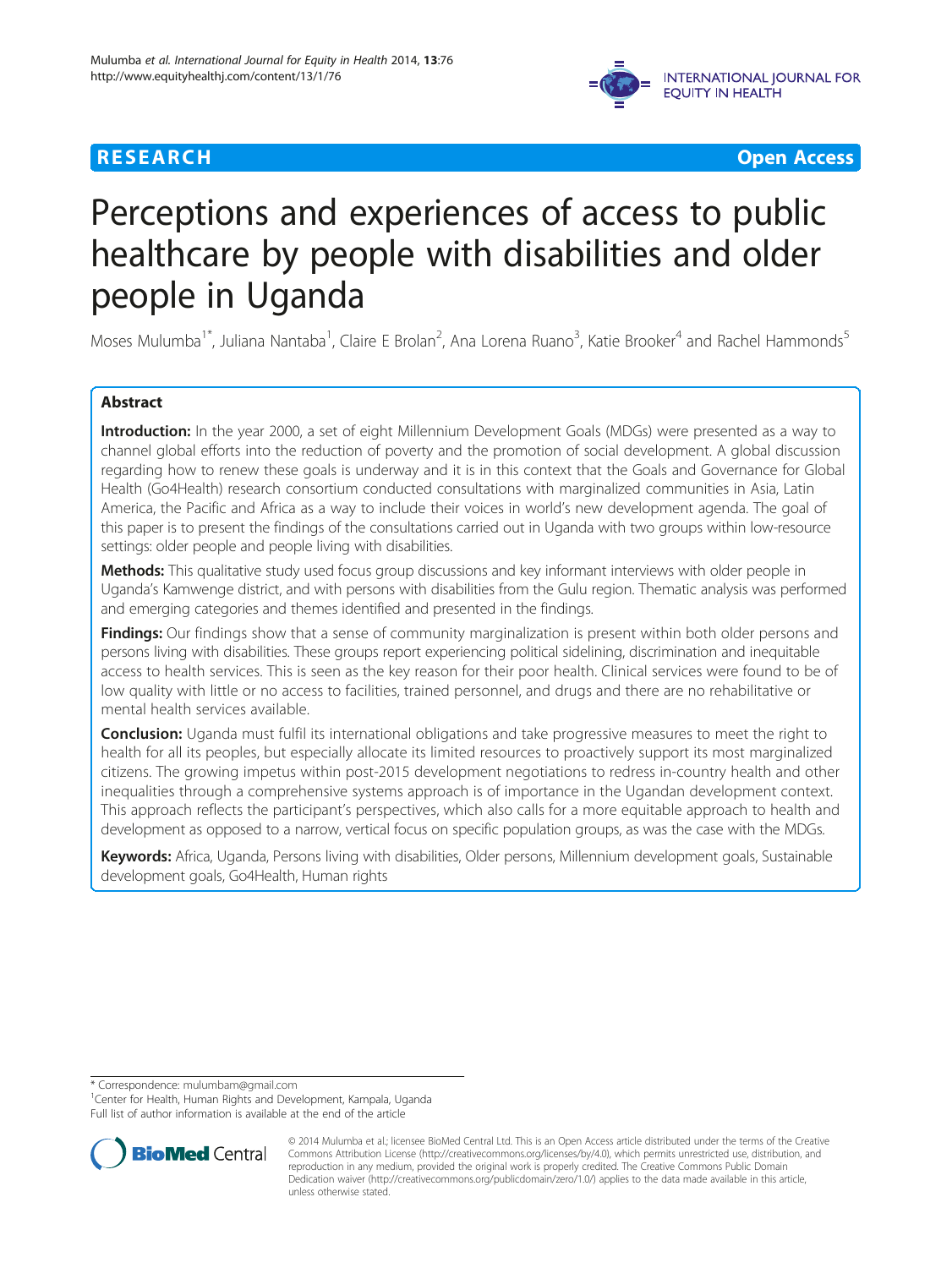

**RESEARCH CHILD CONTROL** CONTROL CONTROL CONTROL CONTROL CONTROL CONTROL CONTROL CONTROL CONTROL CONTROL CONTROL CONTROL CONTROL CONTROL CONTROL CONTROL CONTROL CONTROL CONTROL CONTROL CONTROL CONTROL CONTROL CONTROL CONTR

# Perceptions and experiences of access to public healthcare by people with disabilities and older people in Uganda

Moses Mulumba<sup>1\*</sup>, Juliana Nantaba<sup>1</sup>, Claire E Brolan<sup>2</sup>, Ana Lorena Ruano<sup>3</sup>, Katie Brooker<sup>4</sup> and Rachel Hammonds<sup>5</sup>

# Abstract

Introduction: In the year 2000, a set of eight Millennium Development Goals (MDGs) were presented as a way to channel global efforts into the reduction of poverty and the promotion of social development. A global discussion regarding how to renew these goals is underway and it is in this context that the Goals and Governance for Global Health (Go4Health) research consortium conducted consultations with marginalized communities in Asia, Latin America, the Pacific and Africa as a way to include their voices in world's new development agenda. The goal of this paper is to present the findings of the consultations carried out in Uganda with two groups within low-resource settings: older people and people living with disabilities.

Methods: This qualitative study used focus group discussions and key informant interviews with older people in Uganda's Kamwenge district, and with persons with disabilities from the Gulu region. Thematic analysis was performed and emerging categories and themes identified and presented in the findings.

**Findings:** Our findings show that a sense of community marginalization is present within both older persons and persons living with disabilities. These groups report experiencing political sidelining, discrimination and inequitable access to health services. This is seen as the key reason for their poor health. Clinical services were found to be of low quality with little or no access to facilities, trained personnel, and drugs and there are no rehabilitative or mental health services available.

**Conclusion:** Uganda must fulfil its international obligations and take progressive measures to meet the right to health for all its peoples, but especially allocate its limited resources to proactively support its most marginalized citizens. The growing impetus within post-2015 development negotiations to redress in-country health and other inequalities through a comprehensive systems approach is of importance in the Ugandan development context. This approach reflects the participant's perspectives, which also calls for a more equitable approach to health and development as opposed to a narrow, vertical focus on specific population groups, as was the case with the MDGs.

Keywords: Africa, Uganda, Persons living with disabilities, Older persons, Millennium development goals, Sustainable development goals, Go4Health, Human rights

\* Correspondence: [mulumbam@gmail.com](mailto:mulumbam@gmail.com) <sup>1</sup>

<sup>1</sup> Center for Health, Human Rights and Development, Kampala, Uganda Full list of author information is available at the end of the article



<sup>© 2014</sup> Mulumba et al.; licensee BioMed Central Ltd. This is an Open Access article distributed under the terms of the Creative Commons Attribution License [\(http://creativecommons.org/licenses/by/4.0\)](http://creativecommons.org/licenses/by/4.0), which permits unrestricted use, distribution, and reproduction in any medium, provided the original work is properly credited. The Creative Commons Public Domain Dedication waiver [\(http://creativecommons.org/publicdomain/zero/1.0/](http://creativecommons.org/publicdomain/zero/1.0/)) applies to the data made available in this article, unless otherwise stated.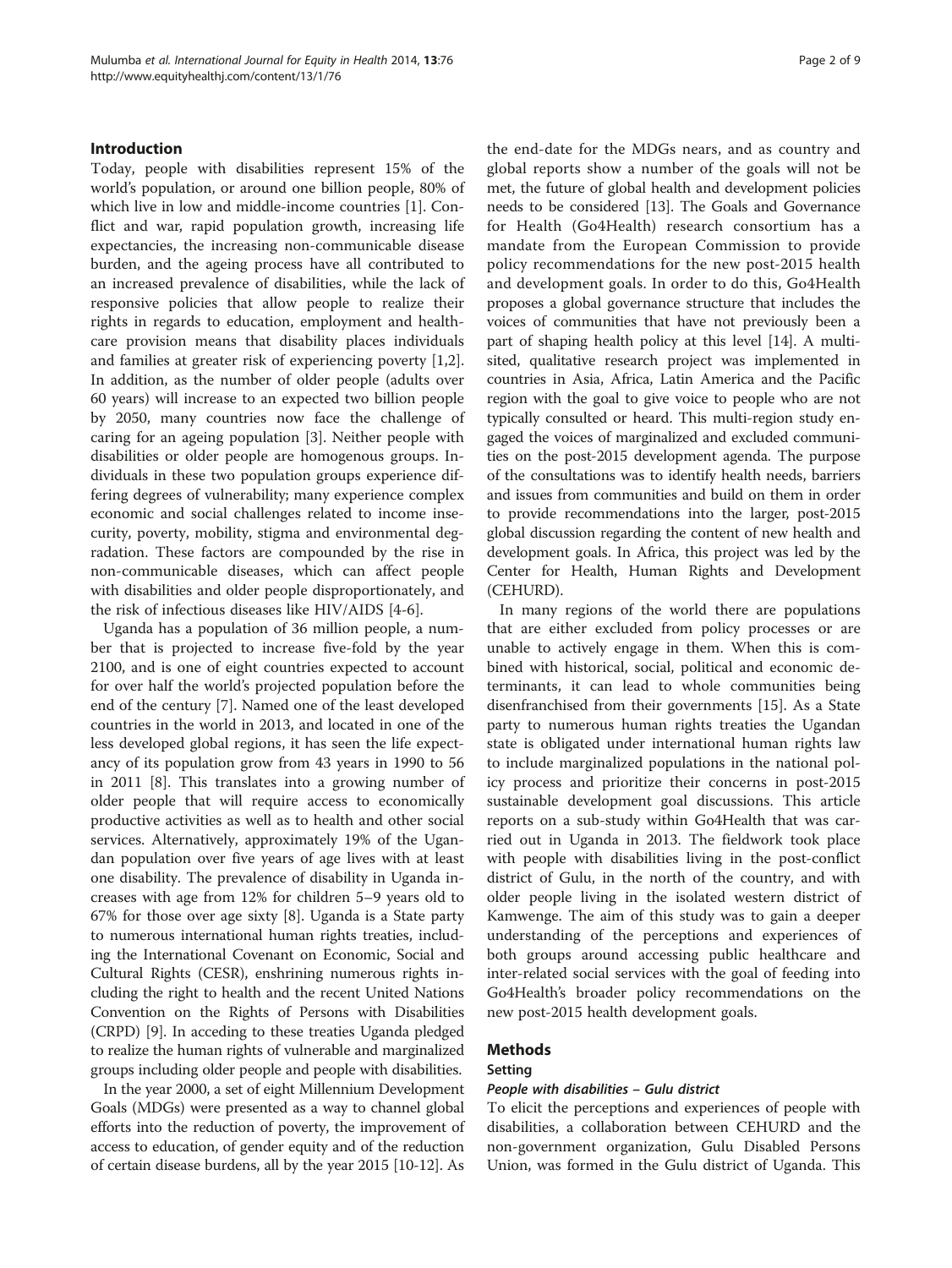#### Introduction

Today, people with disabilities represent 15% of the world's population, or around one billion people, 80% of which live in low and middle-income countries [[1](#page-7-0)]. Conflict and war, rapid population growth, increasing life expectancies, the increasing non-communicable disease burden, and the ageing process have all contributed to an increased prevalence of disabilities, while the lack of responsive policies that allow people to realize their rights in regards to education, employment and healthcare provision means that disability places individuals and families at greater risk of experiencing poverty [\[1,2](#page-7-0)]. In addition, as the number of older people (adults over 60 years) will increase to an expected two billion people by 2050, many countries now face the challenge of caring for an ageing population [\[3](#page-7-0)]. Neither people with disabilities or older people are homogenous groups. Individuals in these two population groups experience differing degrees of vulnerability; many experience complex economic and social challenges related to income insecurity, poverty, mobility, stigma and environmental degradation. These factors are compounded by the rise in non-communicable diseases, which can affect people with disabilities and older people disproportionately, and the risk of infectious diseases like HIV/AIDS [\[4](#page-7-0)-[6\]](#page-7-0).

Uganda has a population of 36 million people, a number that is projected to increase five-fold by the year 2100, and is one of eight countries expected to account for over half the world's projected population before the end of the century [\[7](#page-7-0)]. Named one of the least developed countries in the world in 2013, and located in one of the less developed global regions, it has seen the life expectancy of its population grow from 43 years in 1990 to 56 in 2011 [[8\]](#page-7-0). This translates into a growing number of older people that will require access to economically productive activities as well as to health and other social services. Alternatively, approximately 19% of the Ugandan population over five years of age lives with at least one disability. The prevalence of disability in Uganda increases with age from 12% for children 5–9 years old to 67% for those over age sixty [\[8](#page-7-0)]. Uganda is a State party to numerous international human rights treaties, including the International Covenant on Economic, Social and Cultural Rights (CESR), enshrining numerous rights including the right to health and the recent United Nations Convention on the Rights of Persons with Disabilities (CRPD) [\[9](#page-7-0)]. In acceding to these treaties Uganda pledged to realize the human rights of vulnerable and marginalized groups including older people and people with disabilities.

In the year 2000, a set of eight Millennium Development Goals (MDGs) were presented as a way to channel global efforts into the reduction of poverty, the improvement of access to education, of gender equity and of the reduction of certain disease burdens, all by the year 2015 [\[10-12\]](#page-7-0). As the end-date for the MDGs nears, and as country and global reports show a number of the goals will not be met, the future of global health and development policies needs to be considered [[13](#page-7-0)]. The Goals and Governance for Health (Go4Health) research consortium has a mandate from the European Commission to provide policy recommendations for the new post-2015 health and development goals. In order to do this, Go4Health proposes a global governance structure that includes the voices of communities that have not previously been a part of shaping health policy at this level [[14](#page-7-0)]. A multisited, qualitative research project was implemented in countries in Asia, Africa, Latin America and the Pacific region with the goal to give voice to people who are not typically consulted or heard. This multi-region study engaged the voices of marginalized and excluded communities on the post-2015 development agenda. The purpose of the consultations was to identify health needs, barriers and issues from communities and build on them in order to provide recommendations into the larger, post-2015 global discussion regarding the content of new health and development goals. In Africa, this project was led by the Center for Health, Human Rights and Development (CEHURD).

In many regions of the world there are populations that are either excluded from policy processes or are unable to actively engage in them. When this is combined with historical, social, political and economic determinants, it can lead to whole communities being disenfranchised from their governments [\[15](#page-7-0)]. As a State party to numerous human rights treaties the Ugandan state is obligated under international human rights law to include marginalized populations in the national policy process and prioritize their concerns in post-2015 sustainable development goal discussions. This article reports on a sub-study within Go4Health that was carried out in Uganda in 2013. The fieldwork took place with people with disabilities living in the post-conflict district of Gulu, in the north of the country, and with older people living in the isolated western district of Kamwenge. The aim of this study was to gain a deeper understanding of the perceptions and experiences of both groups around accessing public healthcare and inter-related social services with the goal of feeding into Go4Health's broader policy recommendations on the new post-2015 health development goals.

# Methods

# Setting

#### People with disabilities – Gulu district

To elicit the perceptions and experiences of people with disabilities, a collaboration between CEHURD and the non-government organization, Gulu Disabled Persons Union, was formed in the Gulu district of Uganda. This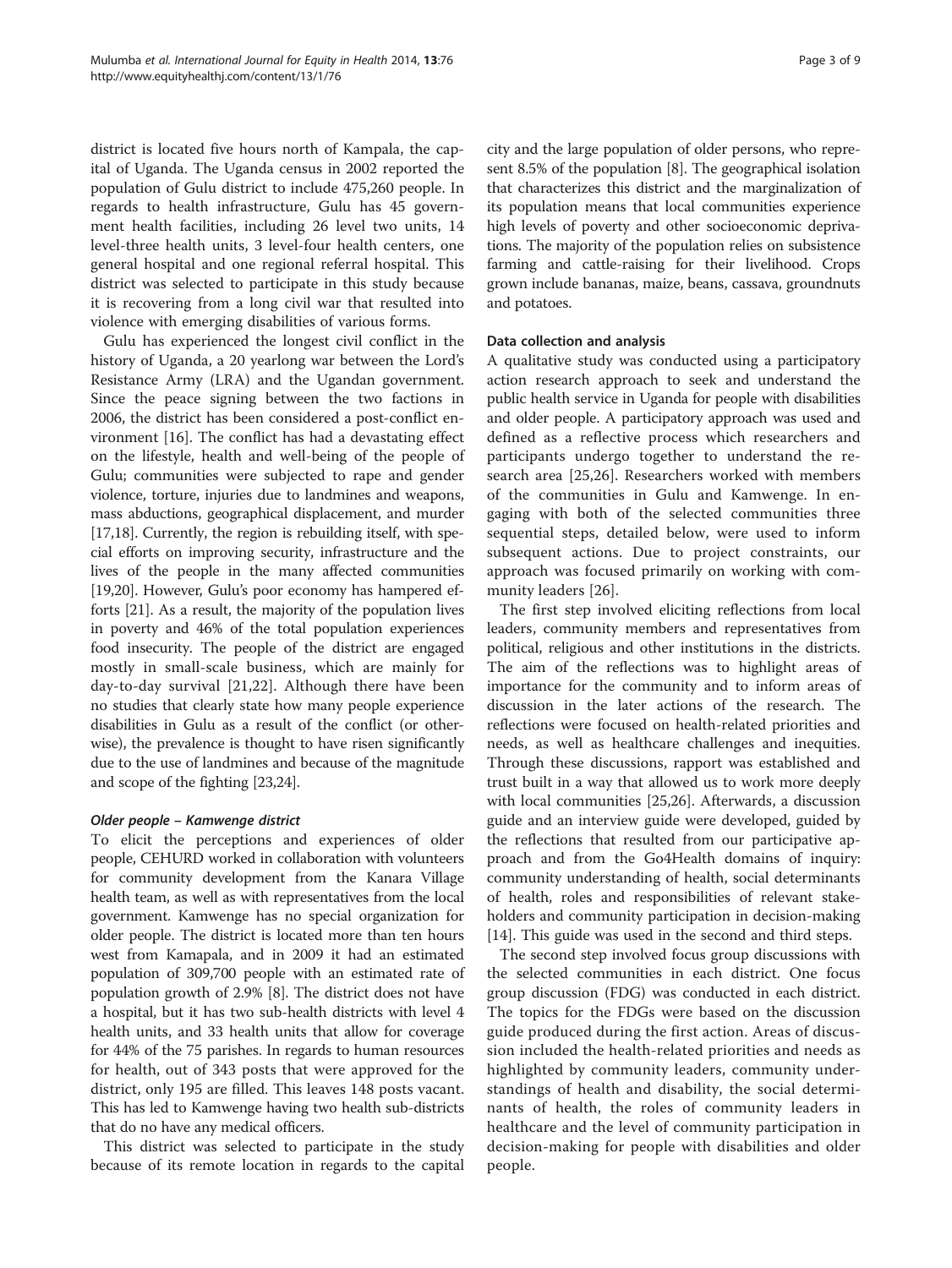district is located five hours north of Kampala, the capital of Uganda. The Uganda census in 2002 reported the population of Gulu district to include 475,260 people. In regards to health infrastructure, Gulu has 45 government health facilities, including 26 level two units, 14 level-three health units, 3 level-four health centers, one general hospital and one regional referral hospital. This district was selected to participate in this study because it is recovering from a long civil war that resulted into violence with emerging disabilities of various forms.

Gulu has experienced the longest civil conflict in the history of Uganda, a 20 yearlong war between the Lord's Resistance Army (LRA) and the Ugandan government. Since the peace signing between the two factions in 2006, the district has been considered a post-conflict environment [\[16](#page-7-0)]. The conflict has had a devastating effect on the lifestyle, health and well-being of the people of Gulu; communities were subjected to rape and gender violence, torture, injuries due to landmines and weapons, mass abductions, geographical displacement, and murder [[17,18](#page-7-0)]. Currently, the region is rebuilding itself, with special efforts on improving security, infrastructure and the lives of the people in the many affected communities [[19,20](#page-7-0)]. However, Gulu's poor economy has hampered efforts [\[21\]](#page-7-0). As a result, the majority of the population lives in poverty and 46% of the total population experiences food insecurity. The people of the district are engaged mostly in small-scale business, which are mainly for day-to-day survival [[21,](#page-7-0)[22\]](#page-8-0). Although there have been no studies that clearly state how many people experience disabilities in Gulu as a result of the conflict (or otherwise), the prevalence is thought to have risen significantly due to the use of landmines and because of the magnitude and scope of the fighting [\[23,24\]](#page-8-0).

# Older people – Kamwenge district

To elicit the perceptions and experiences of older people, CEHURD worked in collaboration with volunteers for community development from the Kanara Village health team, as well as with representatives from the local government. Kamwenge has no special organization for older people. The district is located more than ten hours west from Kamapala, and in 2009 it had an estimated population of 309,700 people with an estimated rate of population growth of 2.9% [[8](#page-7-0)]. The district does not have a hospital, but it has two sub-health districts with level 4 health units, and 33 health units that allow for coverage for 44% of the 75 parishes. In regards to human resources for health, out of 343 posts that were approved for the district, only 195 are filled. This leaves 148 posts vacant. This has led to Kamwenge having two health sub-districts that do no have any medical officers.

This district was selected to participate in the study because of its remote location in regards to the capital

city and the large population of older persons, who represent 8.5% of the population [\[8\]](#page-7-0). The geographical isolation that characterizes this district and the marginalization of its population means that local communities experience high levels of poverty and other socioeconomic deprivations. The majority of the population relies on subsistence farming and cattle-raising for their livelihood. Crops

grown include bananas, maize, beans, cassava, groundnuts

# Data collection and analysis

and potatoes.

A qualitative study was conducted using a participatory action research approach to seek and understand the public health service in Uganda for people with disabilities and older people. A participatory approach was used and defined as a reflective process which researchers and participants undergo together to understand the research area [\[25](#page-8-0),[26](#page-8-0)]. Researchers worked with members of the communities in Gulu and Kamwenge. In engaging with both of the selected communities three sequential steps, detailed below, were used to inform subsequent actions. Due to project constraints, our approach was focused primarily on working with community leaders [[26\]](#page-8-0).

The first step involved eliciting reflections from local leaders, community members and representatives from political, religious and other institutions in the districts. The aim of the reflections was to highlight areas of importance for the community and to inform areas of discussion in the later actions of the research. The reflections were focused on health-related priorities and needs, as well as healthcare challenges and inequities. Through these discussions, rapport was established and trust built in a way that allowed us to work more deeply with local communities [[25,26\]](#page-8-0). Afterwards, a discussion guide and an interview guide were developed, guided by the reflections that resulted from our participative approach and from the Go4Health domains of inquiry: community understanding of health, social determinants of health, roles and responsibilities of relevant stakeholders and community participation in decision-making [[14\]](#page-7-0). This guide was used in the second and third steps.

The second step involved focus group discussions with the selected communities in each district. One focus group discussion (FDG) was conducted in each district. The topics for the FDGs were based on the discussion guide produced during the first action. Areas of discussion included the health-related priorities and needs as highlighted by community leaders, community understandings of health and disability, the social determinants of health, the roles of community leaders in healthcare and the level of community participation in decision-making for people with disabilities and older people.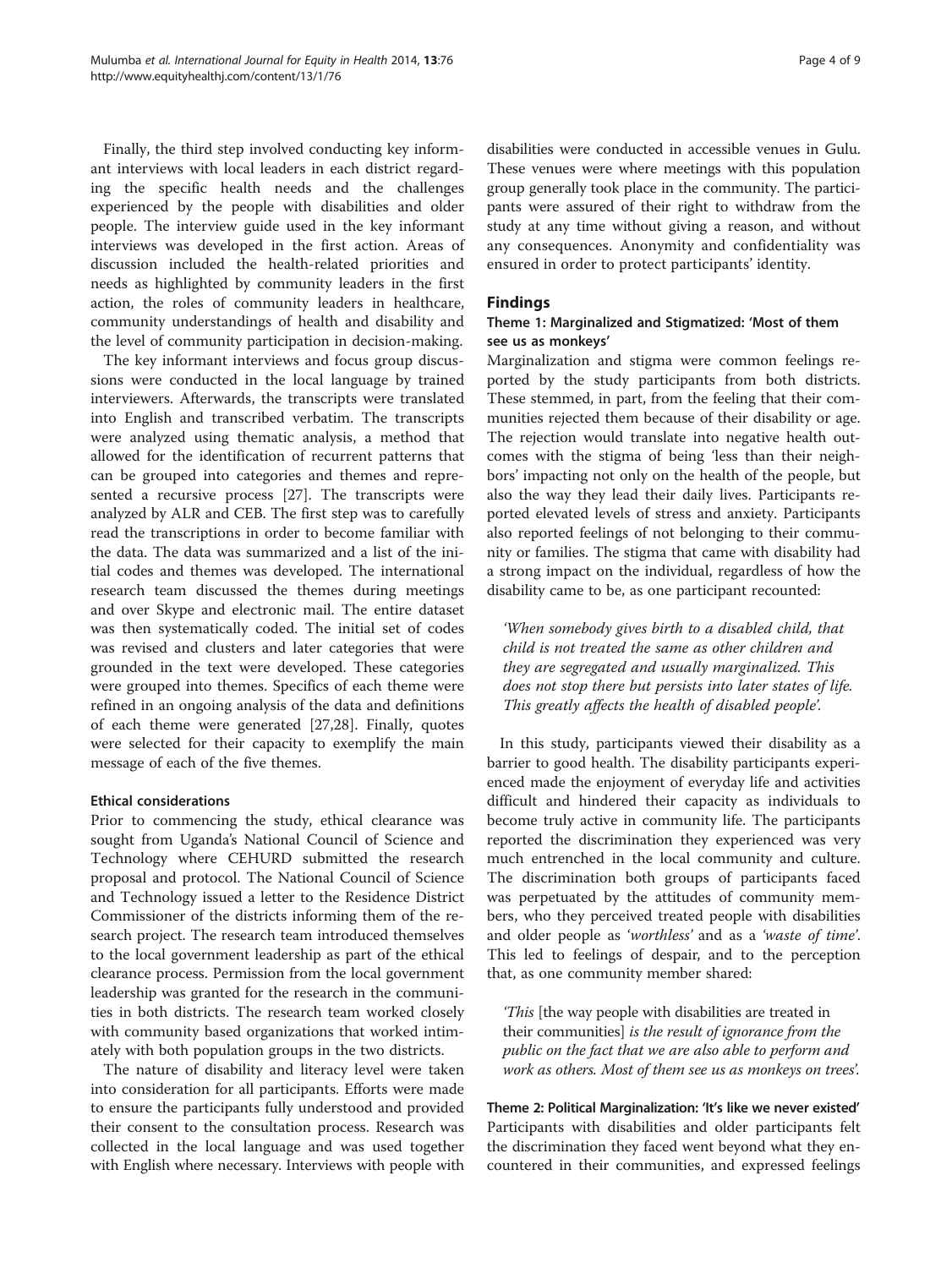Finally, the third step involved conducting key informant interviews with local leaders in each district regarding the specific health needs and the challenges experienced by the people with disabilities and older people. The interview guide used in the key informant interviews was developed in the first action. Areas of discussion included the health-related priorities and needs as highlighted by community leaders in the first action, the roles of community leaders in healthcare, community understandings of health and disability and the level of community participation in decision-making.

The key informant interviews and focus group discussions were conducted in the local language by trained interviewers. Afterwards, the transcripts were translated into English and transcribed verbatim. The transcripts were analyzed using thematic analysis, a method that allowed for the identification of recurrent patterns that can be grouped into categories and themes and represented a recursive process [[27\]](#page-8-0). The transcripts were analyzed by ALR and CEB. The first step was to carefully read the transcriptions in order to become familiar with the data. The data was summarized and a list of the initial codes and themes was developed. The international research team discussed the themes during meetings and over Skype and electronic mail. The entire dataset was then systematically coded. The initial set of codes was revised and clusters and later categories that were grounded in the text were developed. These categories were grouped into themes. Specifics of each theme were refined in an ongoing analysis of the data and definitions of each theme were generated [[27,28\]](#page-8-0). Finally, quotes were selected for their capacity to exemplify the main message of each of the five themes.

# Ethical considerations

Prior to commencing the study, ethical clearance was sought from Uganda's National Council of Science and Technology where CEHURD submitted the research proposal and protocol. The National Council of Science and Technology issued a letter to the Residence District Commissioner of the districts informing them of the research project. The research team introduced themselves to the local government leadership as part of the ethical clearance process. Permission from the local government leadership was granted for the research in the communities in both districts. The research team worked closely with community based organizations that worked intimately with both population groups in the two districts.

The nature of disability and literacy level were taken into consideration for all participants. Efforts were made to ensure the participants fully understood and provided their consent to the consultation process. Research was collected in the local language and was used together with English where necessary. Interviews with people with disabilities were conducted in accessible venues in Gulu. These venues were where meetings with this population group generally took place in the community. The participants were assured of their right to withdraw from the study at any time without giving a reason, and without any consequences. Anonymity and confidentiality was ensured in order to protect participants' identity.

### Findings

# Theme 1: Marginalized and Stigmatized: 'Most of them see us as monkeys'

Marginalization and stigma were common feelings reported by the study participants from both districts. These stemmed, in part, from the feeling that their communities rejected them because of their disability or age. The rejection would translate into negative health outcomes with the stigma of being 'less than their neighbors' impacting not only on the health of the people, but also the way they lead their daily lives. Participants reported elevated levels of stress and anxiety. Participants also reported feelings of not belonging to their community or families. The stigma that came with disability had a strong impact on the individual, regardless of how the disability came to be, as one participant recounted:

'When somebody gives birth to a disabled child, that child is not treated the same as other children and they are segregated and usually marginalized. This does not stop there but persists into later states of life. This greatly affects the health of disabled people'.

In this study, participants viewed their disability as a barrier to good health. The disability participants experienced made the enjoyment of everyday life and activities difficult and hindered their capacity as individuals to become truly active in community life. The participants reported the discrimination they experienced was very much entrenched in the local community and culture. The discrimination both groups of participants faced was perpetuated by the attitudes of community members, who they perceived treated people with disabilities and older people as 'worthless' and as a 'waste of time'. This led to feelings of despair, and to the perception that, as one community member shared:

'This [the way people with disabilities are treated in their communities] is the result of ignorance from the public on the fact that we are also able to perform and work as others. Most of them see us as monkeys on trees'.

Theme 2: Political Marginalization: 'It's like we never existed' Participants with disabilities and older participants felt the discrimination they faced went beyond what they encountered in their communities, and expressed feelings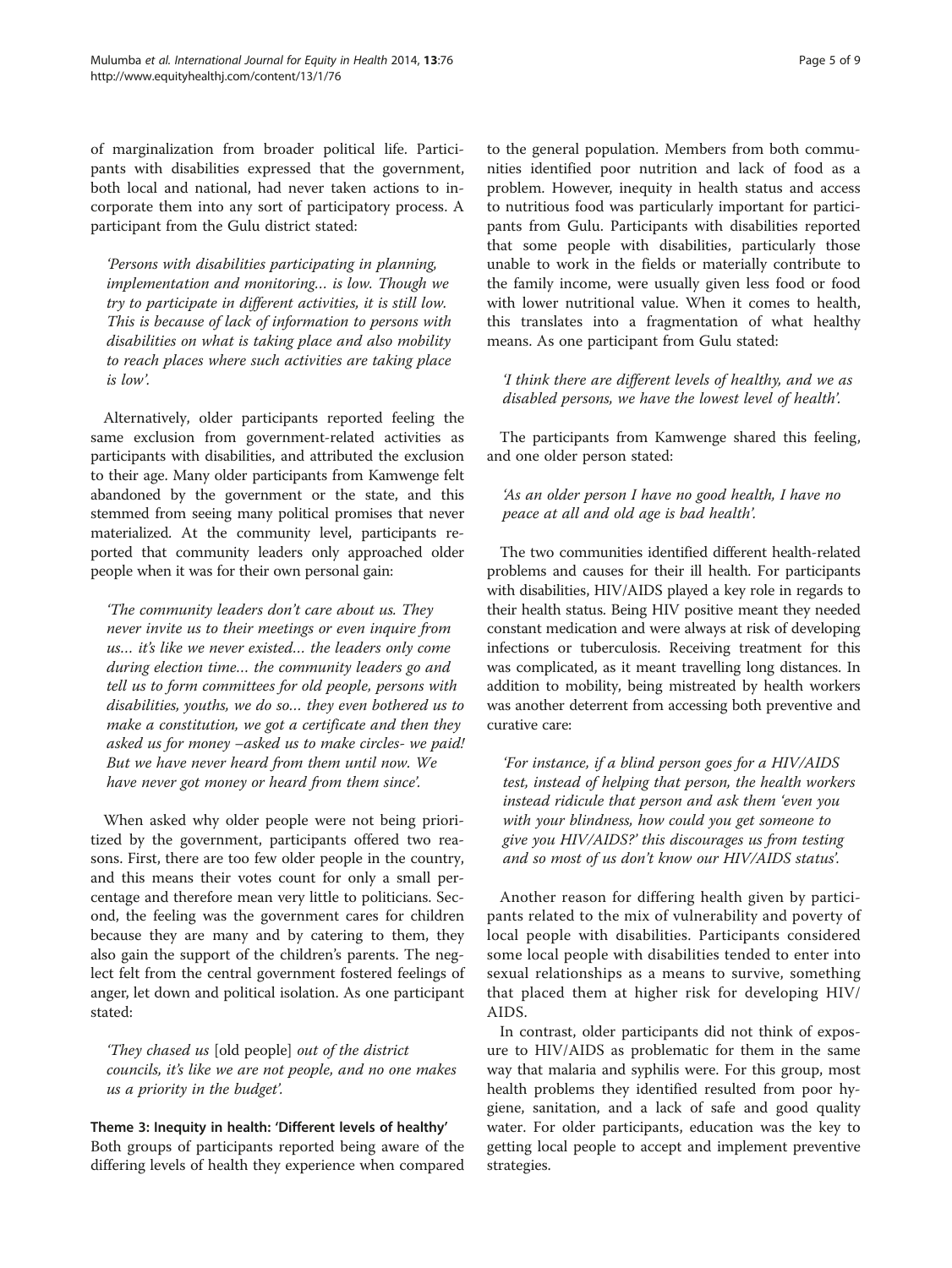of marginalization from broader political life. Participants with disabilities expressed that the government, both local and national, had never taken actions to incorporate them into any sort of participatory process. A participant from the Gulu district stated:

'Persons with disabilities participating in planning, implementation and monitoring… is low. Though we try to participate in different activities, it is still low. This is because of lack of information to persons with disabilities on what is taking place and also mobility to reach places where such activities are taking place is low'.

Alternatively, older participants reported feeling the same exclusion from government-related activities as participants with disabilities, and attributed the exclusion to their age. Many older participants from Kamwenge felt abandoned by the government or the state, and this stemmed from seeing many political promises that never materialized. At the community level, participants reported that community leaders only approached older people when it was for their own personal gain:

'The community leaders don't care about us. They never invite us to their meetings or even inquire from us… it's like we never existed… the leaders only come during election time… the community leaders go and tell us to form committees for old people, persons with disabilities, youths, we do so… they even bothered us to make a constitution, we got a certificate and then they asked us for money –asked us to make circles- we paid! But we have never heard from them until now. We have never got money or heard from them since'.

When asked why older people were not being prioritized by the government, participants offered two reasons. First, there are too few older people in the country, and this means their votes count for only a small percentage and therefore mean very little to politicians. Second, the feeling was the government cares for children because they are many and by catering to them, they also gain the support of the children's parents. The neglect felt from the central government fostered feelings of anger, let down and political isolation. As one participant stated:

'They chased us [old people] out of the district councils, it's like we are not people, and no one makes us a priority in the budget'.

Theme 3: Inequity in health: 'Different levels of healthy' Both groups of participants reported being aware of the differing levels of health they experience when compared

to the general population. Members from both communities identified poor nutrition and lack of food as a problem. However, inequity in health status and access to nutritious food was particularly important for participants from Gulu. Participants with disabilities reported that some people with disabilities, particularly those unable to work in the fields or materially contribute to the family income, were usually given less food or food with lower nutritional value. When it comes to health, this translates into a fragmentation of what healthy means. As one participant from Gulu stated:

'I think there are different levels of healthy, and we as disabled persons, we have the lowest level of health'.

The participants from Kamwenge shared this feeling, and one older person stated:

'As an older person I have no good health, I have no peace at all and old age is bad health'.

The two communities identified different health-related problems and causes for their ill health. For participants with disabilities, HIV/AIDS played a key role in regards to their health status. Being HIV positive meant they needed constant medication and were always at risk of developing infections or tuberculosis. Receiving treatment for this was complicated, as it meant travelling long distances. In addition to mobility, being mistreated by health workers was another deterrent from accessing both preventive and curative care:

'For instance, if a blind person goes for a HIV/AIDS test, instead of helping that person, the health workers instead ridicule that person and ask them 'even you with your blindness, how could you get someone to give you HIV/AIDS?' this discourages us from testing and so most of us don't know our HIV/AIDS status'.

Another reason for differing health given by participants related to the mix of vulnerability and poverty of local people with disabilities. Participants considered some local people with disabilities tended to enter into sexual relationships as a means to survive, something that placed them at higher risk for developing HIV/ AIDS.

In contrast, older participants did not think of exposure to HIV/AIDS as problematic for them in the same way that malaria and syphilis were. For this group, most health problems they identified resulted from poor hygiene, sanitation, and a lack of safe and good quality water. For older participants, education was the key to getting local people to accept and implement preventive strategies.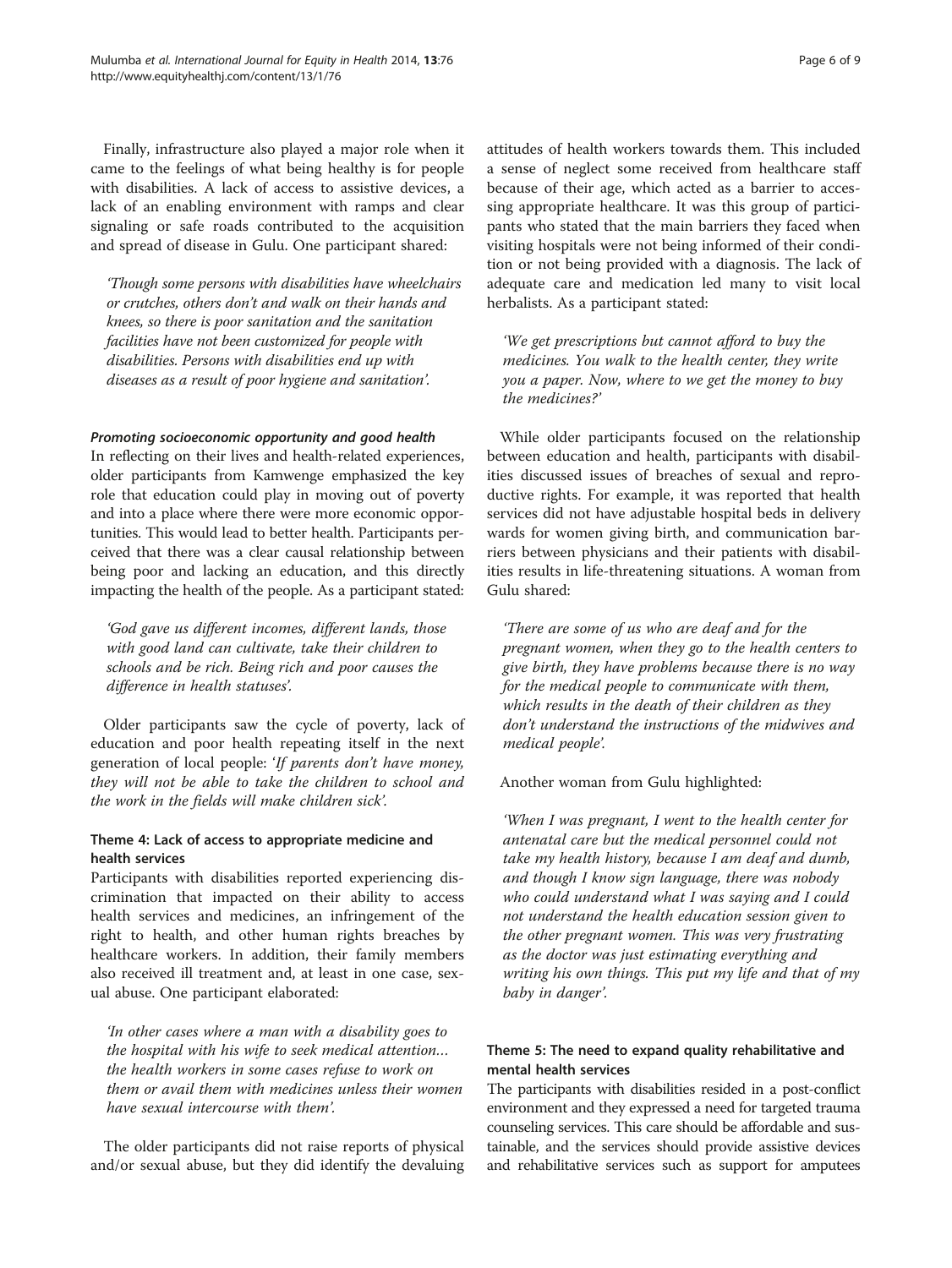Finally, infrastructure also played a major role when it came to the feelings of what being healthy is for people with disabilities. A lack of access to assistive devices, a lack of an enabling environment with ramps and clear signaling or safe roads contributed to the acquisition and spread of disease in Gulu. One participant shared:

'Though some persons with disabilities have wheelchairs or crutches, others don't and walk on their hands and knees, so there is poor sanitation and the sanitation facilities have not been customized for people with disabilities. Persons with disabilities end up with diseases as a result of poor hygiene and sanitation'.

#### Promoting socioeconomic opportunity and good health

In reflecting on their lives and health-related experiences, older participants from Kamwenge emphasized the key role that education could play in moving out of poverty and into a place where there were more economic opportunities. This would lead to better health. Participants perceived that there was a clear causal relationship between being poor and lacking an education, and this directly impacting the health of the people. As a participant stated:

'God gave us different incomes, different lands, those with good land can cultivate, take their children to schools and be rich. Being rich and poor causes the difference in health statuses'.

Older participants saw the cycle of poverty, lack of education and poor health repeating itself in the next generation of local people: 'If parents don't have money, they will not be able to take the children to school and the work in the fields will make children sick'.

#### Theme 4: Lack of access to appropriate medicine and health services

Participants with disabilities reported experiencing discrimination that impacted on their ability to access health services and medicines, an infringement of the right to health, and other human rights breaches by healthcare workers. In addition, their family members also received ill treatment and, at least in one case, sexual abuse. One participant elaborated:

'In other cases where a man with a disability goes to the hospital with his wife to seek medical attention… the health workers in some cases refuse to work on them or avail them with medicines unless their women have sexual intercourse with them'.

The older participants did not raise reports of physical and/or sexual abuse, but they did identify the devaluing attitudes of health workers towards them. This included a sense of neglect some received from healthcare staff because of their age, which acted as a barrier to accessing appropriate healthcare. It was this group of participants who stated that the main barriers they faced when visiting hospitals were not being informed of their condition or not being provided with a diagnosis. The lack of adequate care and medication led many to visit local herbalists. As a participant stated:

'We get prescriptions but cannot afford to buy the medicines. You walk to the health center, they write you a paper. Now, where to we get the money to buy the medicines?'

While older participants focused on the relationship between education and health, participants with disabilities discussed issues of breaches of sexual and reproductive rights. For example, it was reported that health services did not have adjustable hospital beds in delivery wards for women giving birth, and communication barriers between physicians and their patients with disabilities results in life-threatening situations. A woman from Gulu shared:

'There are some of us who are deaf and for the pregnant women, when they go to the health centers to give birth, they have problems because there is no way for the medical people to communicate with them, which results in the death of their children as they don't understand the instructions of the midwives and medical people'.

Another woman from Gulu highlighted:

'When I was pregnant, I went to the health center for antenatal care but the medical personnel could not take my health history, because I am deaf and dumb, and though I know sign language, there was nobody who could understand what I was saying and I could not understand the health education session given to the other pregnant women. This was very frustrating as the doctor was just estimating everything and writing his own things. This put my life and that of my baby in danger'.

# Theme 5: The need to expand quality rehabilitative and mental health services

The participants with disabilities resided in a post-conflict environment and they expressed a need for targeted trauma counseling services. This care should be affordable and sustainable, and the services should provide assistive devices and rehabilitative services such as support for amputees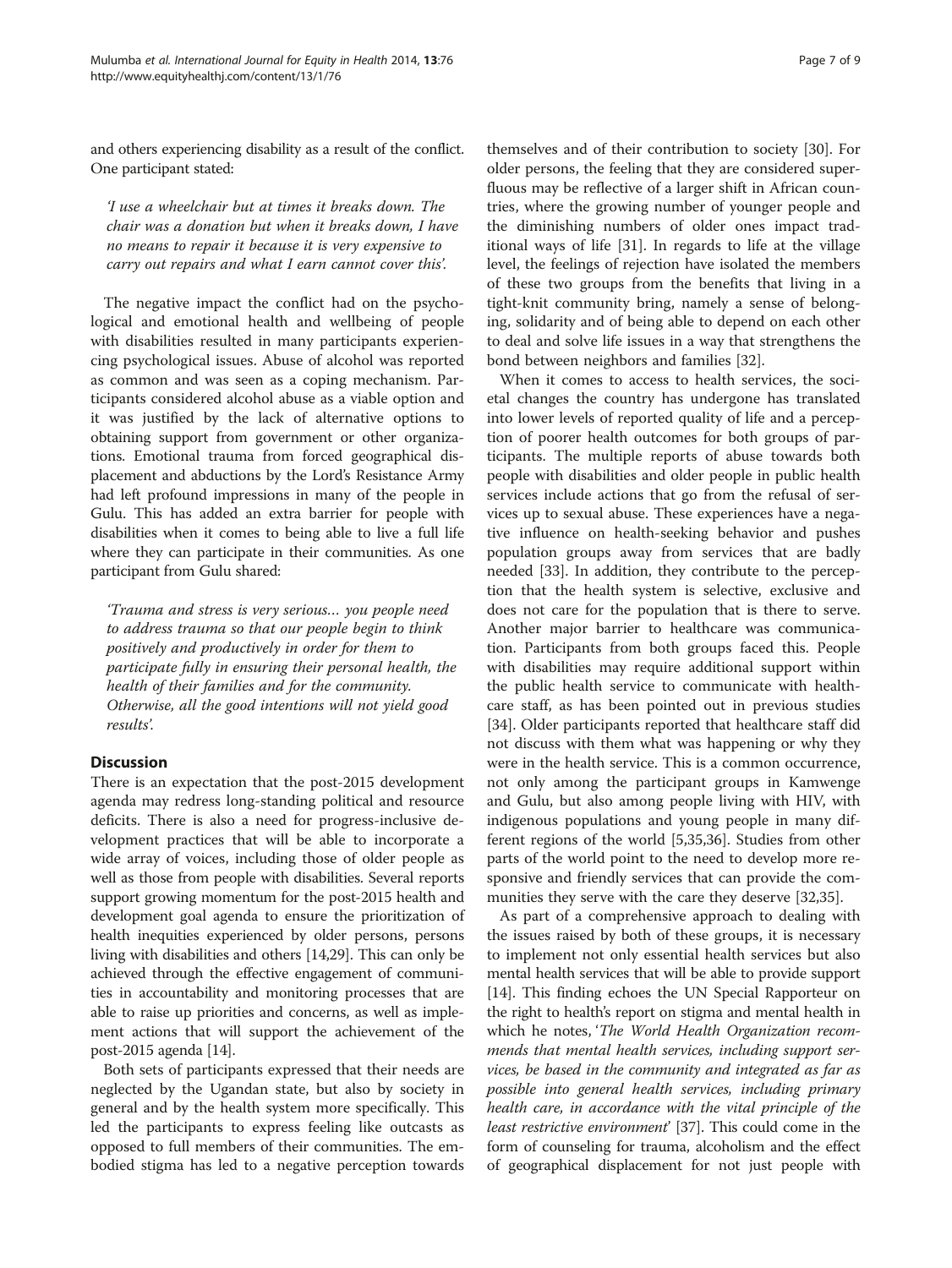and others experiencing disability as a result of the conflict. One participant stated:

'I use a wheelchair but at times it breaks down. The chair was a donation but when it breaks down, I have no means to repair it because it is very expensive to carry out repairs and what I earn cannot cover this'.

The negative impact the conflict had on the psychological and emotional health and wellbeing of people with disabilities resulted in many participants experiencing psychological issues. Abuse of alcohol was reported as common and was seen as a coping mechanism. Participants considered alcohol abuse as a viable option and it was justified by the lack of alternative options to obtaining support from government or other organizations. Emotional trauma from forced geographical displacement and abductions by the Lord's Resistance Army had left profound impressions in many of the people in Gulu. This has added an extra barrier for people with disabilities when it comes to being able to live a full life where they can participate in their communities. As one participant from Gulu shared:

'Trauma and stress is very serious… you people need to address trauma so that our people begin to think positively and productively in order for them to participate fully in ensuring their personal health, the health of their families and for the community. Otherwise, all the good intentions will not yield good results'.

# **Discussion**

There is an expectation that the post-2015 development agenda may redress long-standing political and resource deficits. There is also a need for progress-inclusive development practices that will be able to incorporate a wide array of voices, including those of older people as well as those from people with disabilities. Several reports support growing momentum for the post-2015 health and development goal agenda to ensure the prioritization of health inequities experienced by older persons, persons living with disabilities and others [[14](#page-7-0)[,29\]](#page-8-0). This can only be achieved through the effective engagement of communities in accountability and monitoring processes that are able to raise up priorities and concerns, as well as implement actions that will support the achievement of the post-2015 agenda [[14](#page-7-0)].

Both sets of participants expressed that their needs are neglected by the Ugandan state, but also by society in general and by the health system more specifically. This led the participants to express feeling like outcasts as opposed to full members of their communities. The embodied stigma has led to a negative perception towards

themselves and of their contribution to society [\[30\]](#page-8-0). For older persons, the feeling that they are considered superfluous may be reflective of a larger shift in African countries, where the growing number of younger people and the diminishing numbers of older ones impact traditional ways of life [[31](#page-8-0)]. In regards to life at the village level, the feelings of rejection have isolated the members of these two groups from the benefits that living in a tight-knit community bring, namely a sense of belonging, solidarity and of being able to depend on each other to deal and solve life issues in a way that strengthens the bond between neighbors and families [[32](#page-8-0)].

When it comes to access to health services, the societal changes the country has undergone has translated into lower levels of reported quality of life and a perception of poorer health outcomes for both groups of participants. The multiple reports of abuse towards both people with disabilities and older people in public health services include actions that go from the refusal of services up to sexual abuse. These experiences have a negative influence on health-seeking behavior and pushes population groups away from services that are badly needed [[33\]](#page-8-0). In addition, they contribute to the perception that the health system is selective, exclusive and does not care for the population that is there to serve. Another major barrier to healthcare was communication. Participants from both groups faced this. People with disabilities may require additional support within the public health service to communicate with healthcare staff, as has been pointed out in previous studies [[34\]](#page-8-0). Older participants reported that healthcare staff did not discuss with them what was happening or why they were in the health service. This is a common occurrence, not only among the participant groups in Kamwenge and Gulu, but also among people living with HIV, with indigenous populations and young people in many different regions of the world [\[5](#page-7-0)[,35,36\]](#page-8-0). Studies from other parts of the world point to the need to develop more responsive and friendly services that can provide the communities they serve with the care they deserve [[32,35\]](#page-8-0).

As part of a comprehensive approach to dealing with the issues raised by both of these groups, it is necessary to implement not only essential health services but also mental health services that will be able to provide support [[14](#page-7-0)]. This finding echoes the UN Special Rapporteur on the right to health's report on stigma and mental health in which he notes, 'The World Health Organization recommends that mental health services, including support services, be based in the community and integrated as far as possible into general health services, including primary health care, in accordance with the vital principle of the least restrictive environment' [[37\]](#page-8-0). This could come in the form of counseling for trauma, alcoholism and the effect of geographical displacement for not just people with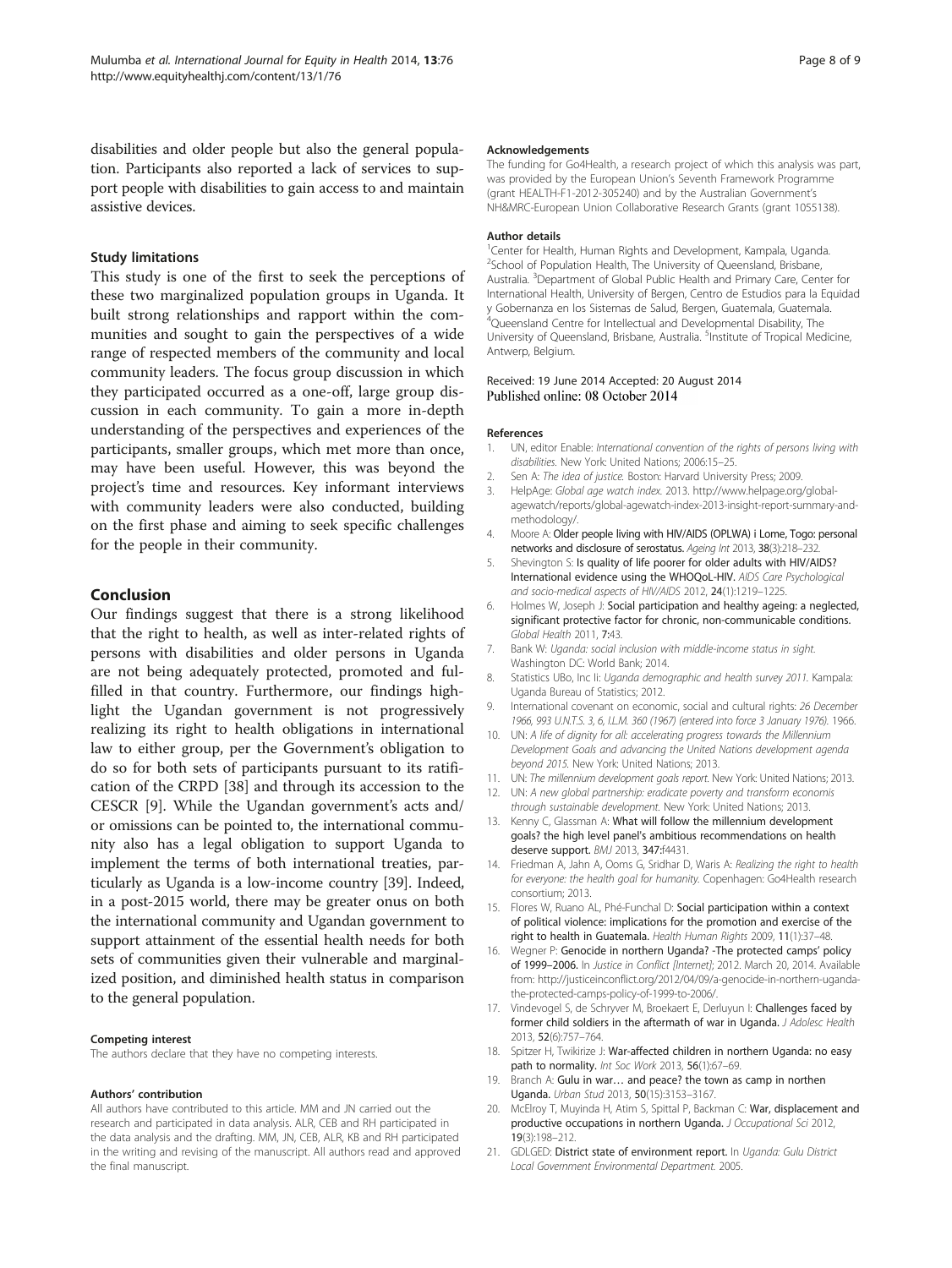<span id="page-7-0"></span>disabilities and older people but also the general population. Participants also reported a lack of services to support people with disabilities to gain access to and maintain assistive devices.

#### Study limitations

This study is one of the first to seek the perceptions of these two marginalized population groups in Uganda. It built strong relationships and rapport within the communities and sought to gain the perspectives of a wide range of respected members of the community and local community leaders. The focus group discussion in which they participated occurred as a one-off, large group discussion in each community. To gain a more in-depth understanding of the perspectives and experiences of the participants, smaller groups, which met more than once, may have been useful. However, this was beyond the project's time and resources. Key informant interviews with community leaders were also conducted, building on the first phase and aiming to seek specific challenges for the people in their community.

#### Conclusion

Our findings suggest that there is a strong likelihood that the right to health, as well as inter-related rights of persons with disabilities and older persons in Uganda are not being adequately protected, promoted and fulfilled in that country. Furthermore, our findings highlight the Ugandan government is not progressively realizing its right to health obligations in international law to either group, per the Government's obligation to do so for both sets of participants pursuant to its ratification of the CRPD [\[38\]](#page-8-0) and through its accession to the CESCR [9]. While the Ugandan government's acts and/ or omissions can be pointed to, the international community also has a legal obligation to support Uganda to implement the terms of both international treaties, particularly as Uganda is a low-income country [[39\]](#page-8-0). Indeed, in a post-2015 world, there may be greater onus on both the international community and Ugandan government to support attainment of the essential health needs for both sets of communities given their vulnerable and marginalized position, and diminished health status in comparison to the general population.

#### Competing interest

The authors declare that they have no competing interests.

#### Authors' contribution

All authors have contributed to this article. MM and JN carried out the research and participated in data analysis. ALR, CEB and RH participated in the data analysis and the drafting. MM, JN, CEB, ALR, KB and RH participated in the writing and revising of the manuscript. All authors read and approved the final manuscript.

#### Acknowledgements

The funding for Go4Health, a research project of which this analysis was part, was provided by the European Union's Seventh Framework Programme (grant HEALTH-F1-2012-305240) and by the Australian Government's NH&MRC-European Union Collaborative Research Grants (grant 1055138).

#### Author details

1 Center for Health, Human Rights and Development, Kampala, Uganda. <sup>2</sup>School of Population Health, The University of Queensland, Brisbane Australia. <sup>3</sup> Department of Global Public Health and Primary Care, Center for International Health, University of Bergen, Centro de Estudios para la Equidad y Gobernanza en los Sistemas de Salud, Bergen, Guatemala, Guatemala. <sup>4</sup>Queensland Centre for Intellectual and Developmental Disability, The University of Queensland, Brisbane, Australia. <sup>5</sup>Institute of Tropical Medicine, Antwerp, Belgium.

#### Received: 19 June 2014 Accepted: 20 August 2014 Published online: 08 October 2014

#### References

- 1. UN, editor Enable: International convention of the rights of persons living with disabilities. New York: United Nations; 2006:15–25.
- 2. Sen A: The idea of justice. Boston: Harvard University Press; 2009.
- 3. HelpAge: Global age watch index. 2013. [http://www.helpage.org/global](http://www.helpage.org/global-agewatch/reports/global-agewatch-index-2013-insight-report-summary-and-methodology/)[agewatch/reports/global-agewatch-index-2013-insight-report-summary-and](http://www.helpage.org/global-agewatch/reports/global-agewatch-index-2013-insight-report-summary-and-methodology/)[methodology/.](http://www.helpage.org/global-agewatch/reports/global-agewatch-index-2013-insight-report-summary-and-methodology/)
- 4. Moore A: Older people living with HIV/AIDS (OPLWA) i Lome, Togo: personal networks and disclosure of serostatus. Ageing Int 2013, 38(3):218–232.
- 5. Shevington S: Is quality of life poorer for older adults with HIV/AIDS? International evidence using the WHOQoL-HIV. AIDS Care Psychological and socio-medical aspects of HIV/AIDS 2012, 24(1):1219–1225.
- 6. Holmes W, Joseph J: Social participation and healthy ageing: a neglected, significant protective factor for chronic, non-communicable conditions. Global Health 2011, 7:43.
- 7. Bank W: Uganda: social inclusion with middle-income status in sight. Washington DC: World Bank; 2014.
- 8. Statistics UBo, Inc Ii: Uganda demographic and health survey 2011. Kampala: Uganda Bureau of Statistics; 2012.
- 9. International covenant on economic, social and cultural rights: 26 December 1966, 993 U.N.T.S. 3, 6, I.L.M. 360 (1967) (entered into force 3 January 1976). 1966.
- 10. UN: A life of dignity for all: accelerating progress towards the Millennium Development Goals and advancing the United Nations development agenda beyond 2015. New York: United Nations; 2013.
- 11. UN: The millennium development goals report. New York: United Nations; 2013.
- 12. UN: A new global partnership: eradicate poverty and transform economis through sustainable development. New York: United Nations; 2013.
- 13. Kenny C, Glassman A: What will follow the millennium development goals? the high level panel's ambitious recommendations on health deserve support. BMJ 2013, 347:f4431.
- 14. Friedman A, Jahn A, Ooms G, Sridhar D, Waris A: Realizing the right to health for everyone: the health goal for humanity. Copenhagen: Go4Health research consortium; 2013.
- 15. Flores W, Ruano AL, Phé-Funchal D: Social participation within a context of political violence: implications for the promotion and exercise of the right to health in Guatemala. Health Human Rights 2009, 11(1):37–48.
- 16. Wegner P: Genocide in northern Uganda? -The protected camps' policy of 1999–2006. In Justice in Conflict [Internet]; 2012. March 20, 2014. Available from: [http://justiceinconflict.org/2012/04/09/a-genocide-in-northern-uganda](http://justiceinconflict.org/2012/04/09/a-genocide-in-northern-uganda-the-protected-camps-policy-of-1999-to-2006/)[the-protected-camps-policy-of-1999-to-2006/](http://justiceinconflict.org/2012/04/09/a-genocide-in-northern-uganda-the-protected-camps-policy-of-1999-to-2006/).
- 17. Vindevogel S, de Schryver M, Broekaert E, Derluyun I: Challenges faced by former child soldiers in the aftermath of war in Uganda. J Adolesc Health 2013, 52(6):757–764.
- 18. Spitzer H, Twikirize J: War-affected children in northern Uganda: no easy path to normality. Int Soc Work 2013, 56(1):67-69.
- 19. Branch A: Gulu in war… and peace? the town as camp in northen Uganda. Urban Stud 2013, 50(15):3153–3167.
- 20. McElroy T, Muyinda H, Atim S, Spittal P, Backman C: War, displacement and productive occupations in northern Uganda. J Occupational Sci 2012, 19(3):198–212.
- 21. GDLGED: District state of environment report. In Uganda: Gulu District Local Government Environmental Department. 2005.